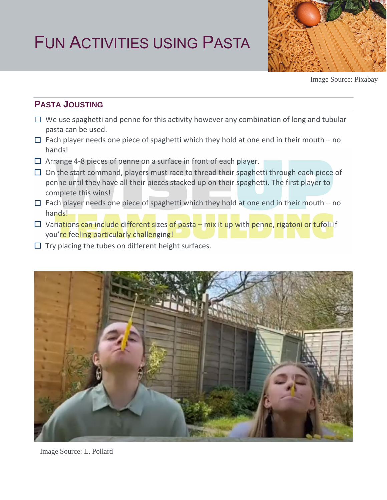# FUN ACTIVITIES USING PASTA



Image Source: Pixabay

### **PASTA JOUSTING**

- $\Box$  We use spaghetti and penne for this activity however any combination of long and tubular pasta can be used.
- $\Box$  Each player needs one piece of spaghetti which they hold at one end in their mouth no hands!
- $\Box$  Arrange 4-8 pieces of penne on a surface in front of each player.
- $\Box$  On the start command, players must race to thread their spaghetti through each piece of penne until they have all their pieces stacked up on their spaghetti. The first player to complete this wins!
- $\Box$  Each player needs one piece of spaghetti which they hold at one end in their mouth no hands!
- □ Variations can include different sizes of pasta mix it up with penne, rigatoni or tufoli if you're feeling particularly challenging!
- $\Box$  Try placing the tubes on different height surfaces.



Image Source: L. Pollard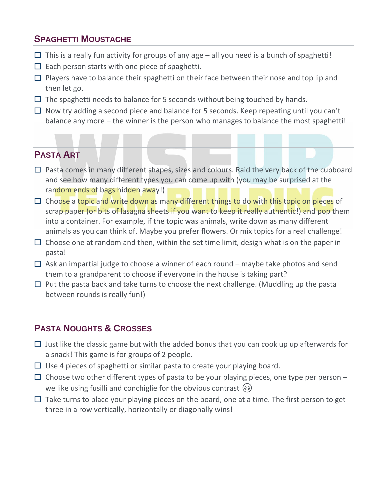#### **SPAGHETTI MOUSTACHE**

- $\Box$  This is a really fun activity for groups of any age all you need is a bunch of spaghetti!
- $\Box$  Each person starts with one piece of spaghetti.
- $\Box$  Players have to balance their spaghetti on their face between their nose and top lip and then let go.
- $\Box$  The spaghetti needs to balance for 5 seconds without being touched by hands.
- $\Box$  Now try adding a second piece and balance for 5 seconds. Keep repeating until you can't balance any more – the winner is the person who manages to balance the most spaghetti!

#### **PASTA ART**

- □ Pasta comes in many different shapes, sizes and colours. Raid the very back of the cupboard and see how many different types you can come up with (you may be surprised at the random ends of bags hidden away!)
- $\Box$  Choose a topic and write down as many different things to do with this topic on pieces of scrap paper (or bits of lasagna sheets if you want to keep it really authentic!) and pop them into a container. For example, if the topic was animals, write down as many different animals as you can think of. Maybe you prefer flowers. Or mix topics for a real challenge!
- $\Box$  Choose one at random and then, within the set time limit, design what is on the paper in pasta!
- $\Box$  Ask an impartial judge to choose a winner of each round maybe take photos and send them to a grandparent to choose if everyone in the house is taking part?
- $\Box$  Put the pasta back and take turns to choose the next challenge. (Muddling up the pasta between rounds is really fun!)

#### **PASTA NOUGHTS & CROSSES**

- $\Box$  Just like the classic game but with the added bonus that you can cook up up afterwards for a snack! This game is for groups of 2 people.
- $\Box$  Use 4 pieces of spaghetti or similar pasta to create your playing board.
- $\Box$  Choose two other different types of pasta to be your playing pieces, one type per person we like using fusilli and conchiglie for the obvious contrast  $\circledast$
- $\Box$  Take turns to place your playing pieces on the board, one at a time. The first person to get three in a row vertically, horizontally or diagonally wins!